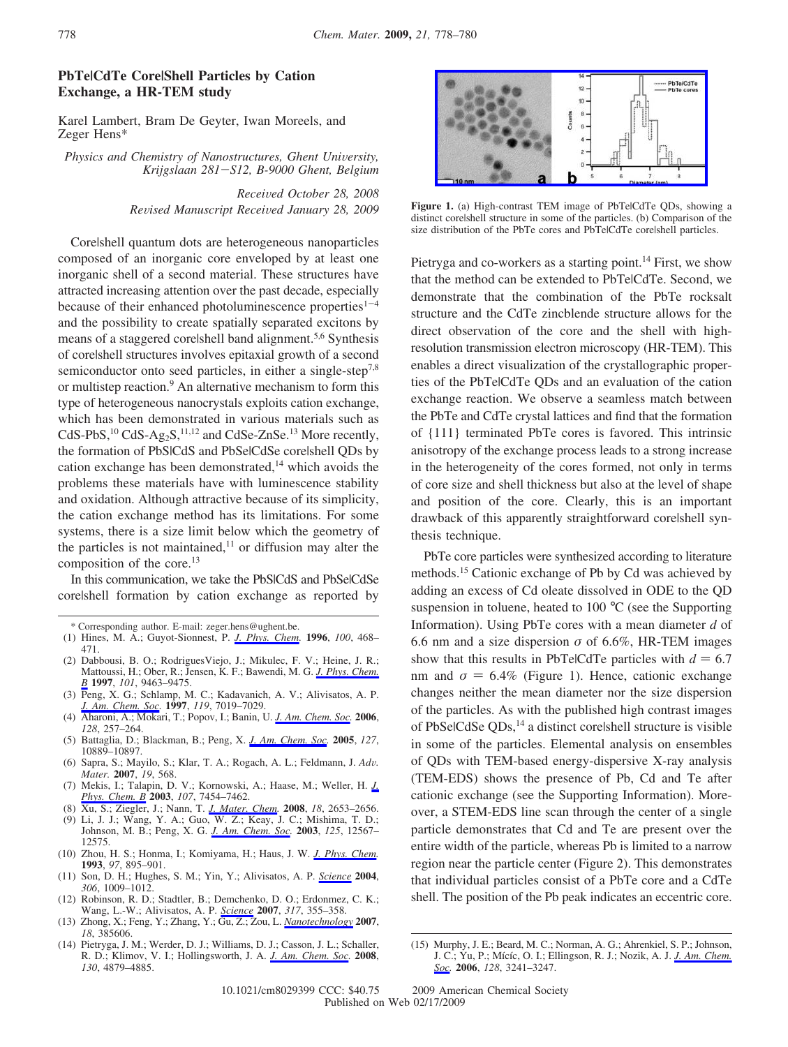## **PbTe|CdTe Core|Shell Particles by Cation Exchange, a HR-TEM study**

Karel Lambert, Bram De Geyter, Iwan Moreels, and Zeger Hens\*

*Physics and Chemistry of Nanostructures, Ghent University, Krijgslaan 281*-*S12, B-9000 Ghent, Belgium*

> *Recei*V*ed October 28, 2008 Re*V*ised Manuscript Recei*V*ed January 28, 2009*

Core|shell quantum dots are heterogeneous nanoparticles composed of an inorganic core enveloped by at least one inorganic shell of a second material. These structures have attracted increasing attention over the past decade, especially because of their enhanced photoluminescence properties $1-4$ and the possibility to create spatially separated excitons by means of a staggered corelshell band alignment.<sup>5,6</sup> Synthesis of core|shell structures involves epitaxial growth of a second semiconductor onto seed particles, in either a single-step<sup>7,8</sup> or multistep reaction.<sup>9</sup> An alternative mechanism to form this type of heterogeneous nanocrystals exploits cation exchange, which has been demonstrated in various materials such as CdS-PbS, $^{10}$  CdS-Ag<sub>2</sub>S, $^{11,12}$  and CdSe-ZnSe.<sup>13</sup> More recently, the formation of PbS|CdS and PbSe|CdSe core|shell ODs by cation exchange has been demonstrated, $14$  which avoids the problems these materials have with luminescence stability and oxidation. Although attractive because of its simplicity, the cation exchange method has its limitations. For some systems, there is a size limit below which the geometry of the particles is not maintained,<sup>11</sup> or diffusion may alter the composition of the core.<sup>13</sup>

In this communication, we take the PbS|CdS and PbSe|CdSe core|shell formation by cation exchange as reported by

- (1) Hines, M. A.; Guyot-Sionnest, P. *J. Phys. Chem.* **1996**, *100*, 468– 471.
- (2) Dabbousi, B. O.; RodriguesViejo, J.; Mikulec, F. V.; Heine, J. R.; Mattoussi, H.; Ober, R.; Jensen, K. F.; Bawendi, M. G. *J. Phys. Chem. B* **1997**, *101*, 9463–9475.
- (3) Peng, X. G.; Schlamp, M. C.; Kadavanich, A. V.; Alivisatos, A. P. *J. Am. Chem. Soc.* **1997**, *119*, 7019–7029.
- (4) Aharoni, A.; Mokari, T.; Popov, I.; Banin, U. *J. Am. Chem. Soc.* **2006**, *128*, 257–264.
- (5) Battaglia, D.; Blackman, B.; Peng, X. *J. Am. Chem. Soc.* **2005**, *127*, 10889–10897.
- (6) Sapra, S.; Mayilo, S.; Klar, T. A.; Rogach, A. L.; Feldmann, J. *Ad*V*. Mater.* **2007**, *19*, 568.
- (7) Mekis, I.; Talapin, D. V.; Kornowski, A.; Haase, M.; Weller, H. *J. Phys. Chem. B* **2003**, *107*, 7454–7462.
- (8) Xu, S.; Ziegler, J.; Nann, T. *J. Mater. Chem.* **2008**, *18*, 2653–2656.
- (9) Li, J. J.; Wang, Y. A.; Guo, W. Z.; Keay, J. C.; Mishima, T. D.; Johnson, M. B.; Peng, X. G. *J. Am. Chem. Soc.* **2003**, *125*, 12567– 12575.
- (10) Zhou, H. S.; Honma, I.; Komiyama, H.; Haus, J. W. *J. Phys. Chem.* **1993**, *97*, 895–901.
- (11) Son, D. H.; Hughes, S. M.; Yin, Y.; Alivisatos, A. P. *Science* **2004**, *306*, 1009–1012.
- (12) Robinson, R. D.; Stadtler, B.; Demchenko, D. O.; Erdonmez, C. K.; Wang, L.-W.; Alivisatos, A. P. *Science* **2007**, *317*, 355–358.
- (13) Zhong, X.; Feng, Y.; Zhang, Y.; Gu, Z.; Zou, L. *Nanotechnology* **2007**, *18*, 385606.
- (14) Pietryga, J. M.; Werder, D. J.; Williams, D. J.; Casson, J. L.; Schaller, R. D.; Klimov, V. I.; Hollingsworth, J. A. *J. Am. Chem. Soc.* **2008**, *130*, 4879–4885.



**Figure 1.** (a) High-contrast TEM image of PbTe|CdTe QDs, showing a distinct core|shell structure in some of the particles. (b) Comparison of the size distribution of the PbTe cores and PbTelCdTe corelshell particles.

Pietryga and co-workers as a starting point.<sup>14</sup> First, we show that the method can be extended to PbTe|CdTe. Second, we demonstrate that the combination of the PbTe rocksalt structure and the CdTe zincblende structure allows for the direct observation of the core and the shell with highresolution transmission electron microscopy (HR-TEM). This enables a direct visualization of the crystallographic properties of the PbTe|CdTe QDs and an evaluation of the cation exchange reaction. We observe a seamless match between the PbTe and CdTe crystal lattices and find that the formation of {111} terminated PbTe cores is favored. This intrinsic anisotropy of the exchange process leads to a strong increase in the heterogeneity of the cores formed, not only in terms of core size and shell thickness but also at the level of shape and position of the core. Clearly, this is an important drawback of this apparently straightforward core|shell synthesis technique.

PbTe core particles were synthesized according to literature methods.15 Cationic exchange of Pb by Cd was achieved by adding an excess of Cd oleate dissolved in ODE to the QD suspension in toluene, heated to 100 °C (see the Supporting Information). Using PbTe cores with a mean diameter *d* of 6.6 nm and a size dispersion  $\sigma$  of 6.6%, HR-TEM images show that this results in PbTelCdTe particles with  $d = 6.7$ nm and  $\sigma = 6.4\%$  (Figure 1). Hence, cationic exchange changes neither the mean diameter nor the size dispersion of the particles. As with the published high contrast images of PbSelCdSe QDs,<sup>14</sup> a distinct corelshell structure is visible in some of the particles. Elemental analysis on ensembles of QDs with TEM-based energy-dispersive X-ray analysis (TEM-EDS) shows the presence of Pb, Cd and Te after cationic exchange (see the Supporting Information). Moreover, a STEM-EDS line scan through the center of a single particle demonstrates that Cd and Te are present over the entire width of the particle, whereas Pb is limited to a narrow region near the particle center (Figure 2). This demonstrates that individual particles consist of a PbTe core and a CdTe shell. The position of the Pb peak indicates an eccentric core.

<sup>\*</sup> Corresponding author. E-mail: zeger.hens@ughent.be.

<sup>(15)</sup> Murphy, J. E.; Beard, M. C.; Norman, A. G.; Ahrenkiel, S. P.; Johnson, J. C.; Yu, P.; Mícíc, O. I.; Ellingson, R. J.; Nozik, A. J. *J. Am. Chem. Soc.* **2006**, *128*, 3241–3247.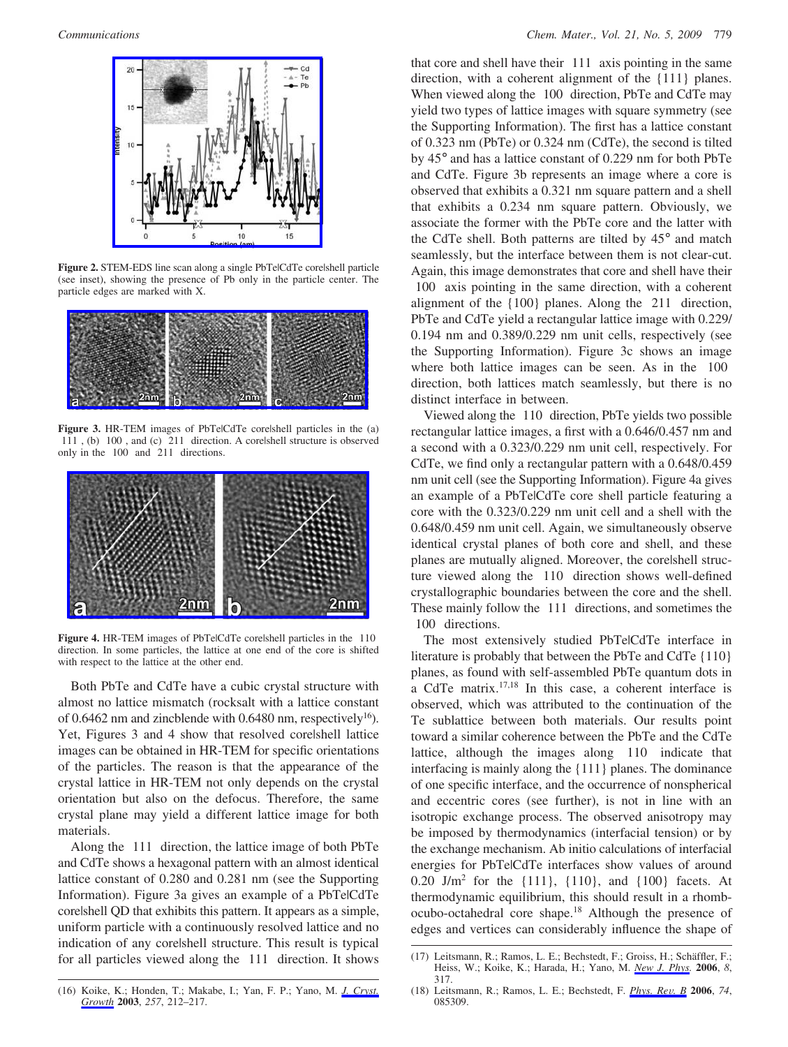

Figure 2. STEM-EDS line scan along a single PbTelCdTe corelshell particle (see inset), showing the presence of Pb only in the particle center. The particle edges are marked with X.



Figure 3. HR-TEM images of PbTelCdTe corelshell particles in the (a)  $\langle 111 \rangle$ , (b)  $\langle 100 \rangle$ , and (c)  $\langle 211 \rangle$  direction. A corelshell structure is observed only in the  $\langle 100 \rangle$  and  $\langle 211 \rangle$  directions.



Figure 4. HR-TEM images of PbTelCdTe corelshell particles in the  $\langle 110 \rangle$ direction. In some particles, the lattice at one end of the core is shifted with respect to the lattice at the other end.

Both PbTe and CdTe have a cubic crystal structure with almost no lattice mismatch (rocksalt with a lattice constant of 0.6462 nm and zincblende with 0.6480 nm, respectively<sup>16</sup>). Yet, Figures 3 and 4 show that resolved core|shell lattice images can be obtained in HR-TEM for specific orientations of the particles. The reason is that the appearance of the crystal lattice in HR-TEM not only depends on the crystal orientation but also on the defocus. Therefore, the same crystal plane may yield a different lattice image for both materials.

Along the 〈111〉 direction, the lattice image of both PbTe and CdTe shows a hexagonal pattern with an almost identical lattice constant of 0.280 and 0.281 nm (see the Supporting Information). Figure 3a gives an example of a PbTe|CdTe core|shell QD that exhibits this pattern. It appears as a simple, uniform particle with a continuously resolved lattice and no indication of any corelshell structure. This result is typical for all particles viewed along the  $\langle 111 \rangle$  direction. It shows that core and shell have their  $\langle 111 \rangle$  axis pointing in the same direction, with a coherent alignment of the {111} planes. When viewed along the  $\langle 100 \rangle$  direction, PbTe and CdTe may yield two types of lattice images with square symmetry (see the Supporting Information). The first has a lattice constant of 0.323 nm (PbTe) or 0.324 nm (CdTe), the second is tilted by 45° and has a lattice constant of 0.229 nm for both PbTe and CdTe. Figure 3b represents an image where a core is observed that exhibits a 0.321 nm square pattern and a shell that exhibits a 0.234 nm square pattern. Obviously, we associate the former with the PbTe core and the latter with the CdTe shell. Both patterns are tilted by 45° and match seamlessly, but the interface between them is not clear-cut. Again, this image demonstrates that core and shell have their 〈100〉 axis pointing in the same direction, with a coherent alignment of the  $\{100\}$  planes. Along the  $\langle 211 \rangle$  direction, PbTe and CdTe yield a rectangular lattice image with 0.229/ 0.194 nm and 0.389/0.229 nm unit cells, respectively (see the Supporting Information). Figure 3c shows an image where both lattice images can be seen. As in the  $\langle 100 \rangle$ direction, both lattices match seamlessly, but there is no distinct interface in between.

Viewed along the 〈110〉 direction, PbTe yields two possible rectangular lattice images, a first with a 0.646/0.457 nm and a second with a 0.323/0.229 nm unit cell, respectively. For CdTe, we find only a rectangular pattern with a 0.648/0.459 nm unit cell (see the Supporting Information). Figure 4a gives an example of a PbTe|CdTe core shell particle featuring a core with the 0.323/0.229 nm unit cell and a shell with the 0.648/0.459 nm unit cell. Again, we simultaneously observe identical crystal planes of both core and shell, and these planes are mutually aligned. Moreover, the corelshell structure viewed along the  $\langle 110 \rangle$  direction shows well-defined crystallographic boundaries between the core and the shell. These mainly follow the  $\langle 111 \rangle$  directions, and sometimes the 〈100〉 directions.

The most extensively studied PbTe|CdTe interface in literature is probably that between the PbTe and CdTe {110} planes, as found with self-assembled PbTe quantum dots in a CdTe matrix.17,18 In this case, a coherent interface is observed, which was attributed to the continuation of the Te sublattice between both materials. Our results point toward a similar coherence between the PbTe and the CdTe lattice, although the images along  $\langle 110 \rangle$  indicate that interfacing is mainly along the {111} planes. The dominance of one specific interface, and the occurrence of nonspherical and eccentric cores (see further), is not in line with an isotropic exchange process. The observed anisotropy may be imposed by thermodynamics (interfacial tension) or by the exchange mechanism. Ab initio calculations of interfacial energies for PbTe|CdTe interfaces show values of around 0.20 J/m<sup>2</sup> for the  $\{111\}$ ,  $\{110\}$ , and  $\{100\}$  facets. At thermodynamic equilibrium, this should result in a rhombocubo-octahedral core shape.18 Although the presence of edges and vertices can considerably influence the shape of

<sup>(17)</sup> Leitsmann, R.; Ramos, L. E.; Bechstedt, F.; Groiss, H.; Schäffler, F.; Heiss, W.; Koike, K.; Harada, H.; Yano, M. *New J. Phys.* **2006**, *8*, 317.

<sup>(16)</sup> Koike, K.; Honden, T.; Makabe, I.; Yan, F. P.; Yano, M. *J. Cryst. Growth* **2003**, *257*, 212–217.

<sup>(18)</sup> Leitsmann, R.; Ramos, L. E.; Bechstedt, F. *Phys. Re*V*. B* **<sup>2006</sup>**, *<sup>74</sup>*, 085309.